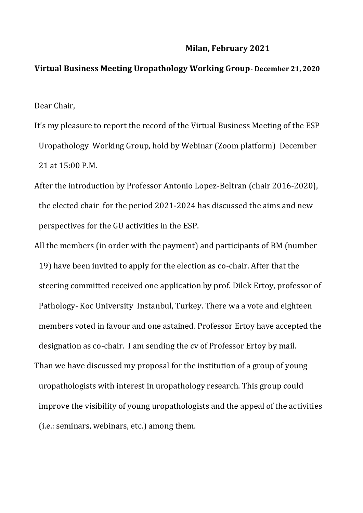## **Milan, February 2021**

## **Virtual Business Meeting Uropathology Working Group- December 21, 2020**

Dear Chair,

- It's my pleasure to report the record of the Virtual Business Meeting of the ESP Uropathology Working Group, hold by Webinar (Zoom platform) December 21 at 15:00 P.M.
- After the introduction by Professor Antonio Lopez-Beltran (chair 2016-2020), the elected chair for the period 2021-2024 has discussed the aims and new perspectives for the GU activities in the ESP.
- All the members (in order with the payment) and participants of BM (number 19) have been invited to apply for the election as co-chair. After that the steering committed received one application by prof. Dilek Ertoy, professor of Pathology- Koc University Instanbul, Turkey. There wa a vote and eighteen members voted in favour and one astained. Professor Ertoy have accepted the designation as co-chair. I am sending the cv of Professor Ertoy by mail. Than we have discussed my proposal for the institution of a group of young uropathologists with interest in uropathology research. This group could improve the visibility of young uropathologists and the appeal of the activities (i.e.: seminars, webinars, etc.) among them.